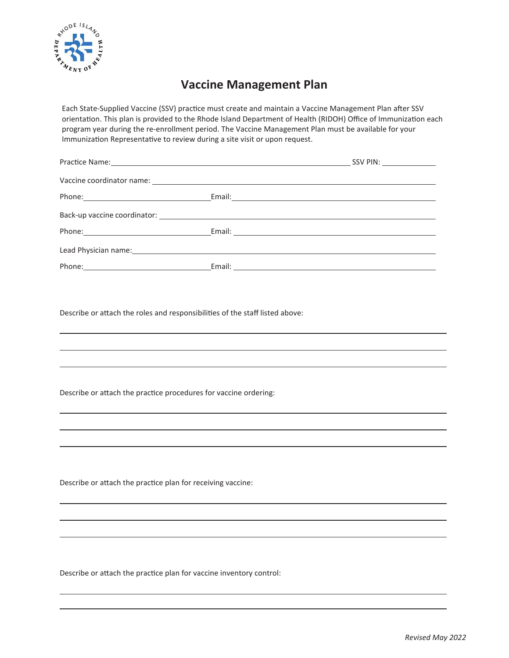

## **Vaccine Management Plan**

Each State-Supplied Vaccine (SSV) practice must create and maintain a Vaccine Management Plan after SSV orientation. This plan is provided to the Rhode Island Department of Health (RIDOH) Office of Immunization each program year during the re-enrollment period. The Vaccine Management Plan must be available for your Immunization Representative to review during a site visit or upon request.

|                                                                                                                | Phone: Email: Email: |
|----------------------------------------------------------------------------------------------------------------|----------------------|
|                                                                                                                |                      |
|                                                                                                                |                      |
| Lead Physician name: 1999 and 2009 and 2009 and 2009 and 2009 and 2009 and 2009 and 2009 and 2009 and 2009 and |                      |
|                                                                                                                |                      |

Describe or attach the roles and responsibilities of the staff listed above:

Describe or attach the practice procedures for vaccine ordering:

Describe or attach the practice plan for receiving vaccine:

Describe or attach the practice plan for vaccine inventory control: